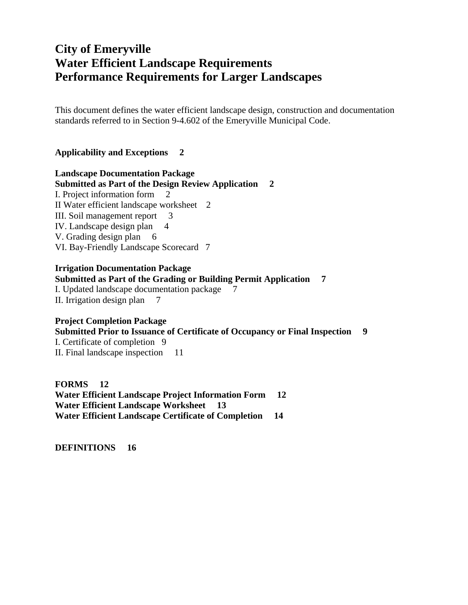# **City of Emeryville Water Efficient Landscape Requirements Performance Requirements for Larger Landscapes**

This document defines the water efficient landscape design, construction and documentation standards referred to in Section 9-4.602 of the Emeryville Municipal Code.

#### **Applicability and Exceptions 2**

#### **Landscape Documentation Package Submitted as Part of the Design Review Application 2**  I. Project information form 2 II Water efficient landscape worksheet 2 III. Soil management report 3 IV. Landscape design plan 4 V. Grading design plan 6 VI. Bay-Friendly Landscape Scorecard 7

#### **Irrigation Documentation Package**

#### **Submitted as Part of the Grading or Building Permit Application 7**

I. Updated landscape documentation package 7

II. Irrigation design plan 7

**Project Completion Package Submitted Prior to Issuance of Certificate of Occupancy or Final Inspection 9**  I. Certificate of completion 9 II. Final landscape inspection 11

**FORMS 12 Water Efficient Landscape Project Information Form 12 Water Efficient Landscape Worksheet 13 Water Efficient Landscape Certificate of Completion 14** 

**DEFINITIONS 16**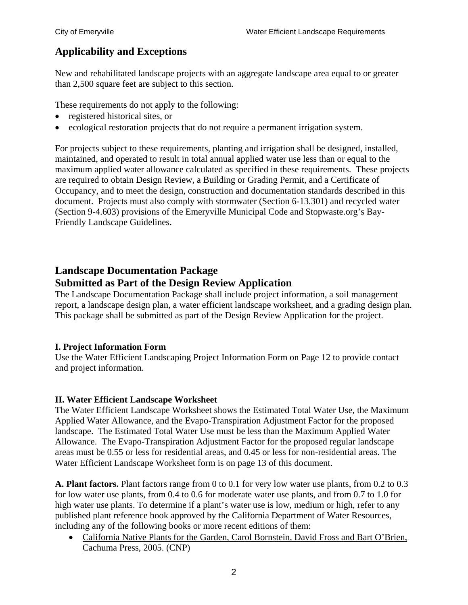# **Applicability and Exceptions**

New and rehabilitated landscape projects with an aggregate landscape area equal to or greater than 2,500 square feet are subject to this section.

These requirements do not apply to the following:

- registered historical sites, or
- ecological restoration projects that do not require a permanent irrigation system.

For projects subject to these requirements, planting and irrigation shall be designed, installed, maintained, and operated to result in total annual applied water use less than or equal to the maximum applied water allowance calculated as specified in these requirements. These projects are required to obtain Design Review, a Building or Grading Permit, and a Certificate of Occupancy, and to meet the design, construction and documentation standards described in this document. Projects must also comply with stormwater (Section 6-13.301) and recycled water (Section 9-4.603) provisions of the Emeryville Municipal Code and Stopwaste.org's Bay-Friendly Landscape Guidelines.

# **Landscape Documentation Package Submitted as Part of the Design Review Application**

The Landscape Documentation Package shall include project information, a soil management report, a landscape design plan, a water efficient landscape worksheet, and a grading design plan. This package shall be submitted as part of the Design Review Application for the project.

### **I. Project Information Form**

Use the Water Efficient Landscaping Project Information Form on Page 12 to provide contact and project information.

### **II. Water Efficient Landscape Worksheet**

The Water Efficient Landscape Worksheet shows the Estimated Total Water Use, the Maximum Applied Water Allowance, and the Evapo-Transpiration Adjustment Factor for the proposed landscape. The Estimated Total Water Use must be less than the Maximum Applied Water Allowance. The Evapo-Transpiration Adjustment Factor for the proposed regular landscape areas must be 0.55 or less for residential areas, and 0.45 or less for non-residential areas. The Water Efficient Landscape Worksheet form is on page 13 of this document.

**A. Plant factors.** Plant factors range from 0 to 0.1 for very low water use plants, from 0.2 to 0.3 for low water use plants, from 0.4 to 0.6 for moderate water use plants, and from 0.7 to 1.0 for high water use plants. To determine if a plant's water use is low, medium or high, refer to any published plant reference book approved by the California Department of Water Resources, including any of the following books or more recent editions of them:

 California Native Plants for the Garden, Carol Bornstein, David Fross and Bart O'Brien, Cachuma Press, 2005. (CNP)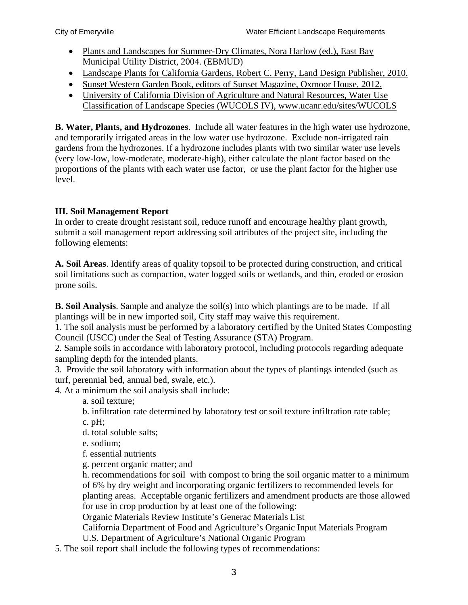- Plants and Landscapes for Summer-Dry Climates, Nora Harlow (ed.), East Bay Municipal Utility District, 2004. (EBMUD)
- Landscape Plants for California Gardens, Robert C. Perry, Land Design Publisher, 2010.
- Sunset Western Garden Book, editors of Sunset Magazine, Oxmoor House, 2012.
- University of California Division of Agriculture and Natural Resources, Water Use Classification of Landscape Species (WUCOLS IV), www.ucanr.edu/sites/WUCOLS

**B. Water, Plants, and Hydrozones**. Include all water features in the high water use hydrozone, and temporarily irrigated areas in the low water use hydrozone. Exclude non-irrigated rain gardens from the hydrozones. If a hydrozone includes plants with two similar water use levels (very low-low, low-moderate, moderate-high), either calculate the plant factor based on the proportions of the plants with each water use factor, or use the plant factor for the higher use level.

## **III. Soil Management Report**

In order to create drought resistant soil, reduce runoff and encourage healthy plant growth, submit a soil management report addressing soil attributes of the project site, including the following elements:

**A. Soil Areas**. Identify areas of quality topsoil to be protected during construction, and critical soil limitations such as compaction, water logged soils or wetlands, and thin, eroded or erosion prone soils.

**B. Soil Analysis**. Sample and analyze the soil(s) into which plantings are to be made. If all plantings will be in new imported soil, City staff may waive this requirement.

1. The soil analysis must be performed by a laboratory certified by the United States Composting Council (USCC) under the Seal of Testing Assurance (STA) Program.

2. Sample soils in accordance with laboratory protocol, including protocols regarding adequate sampling depth for the intended plants.

3. Provide the soil laboratory with information about the types of plantings intended (such as turf, perennial bed, annual bed, swale, etc.).

4. At a minimum the soil analysis shall include:

a. soil texture;

b. infiltration rate determined by laboratory test or soil texture infiltration rate table;

c. pH;

d. total soluble salts;

e. sodium;

f. essential nutrients

g. percent organic matter; and

h. recommendations for soil with compost to bring the soil organic matter to a minimum of 6% by dry weight and incorporating organic fertilizers to recommended levels for planting areas. Acceptable organic fertilizers and amendment products are those allowed for use in crop production by at least one of the following:

Organic Materials Review Institute's Generac Materials List

California Department of Food and Agriculture's Organic Input Materials Program

U.S. Department of Agriculture's National Organic Program

5. The soil report shall include the following types of recommendations: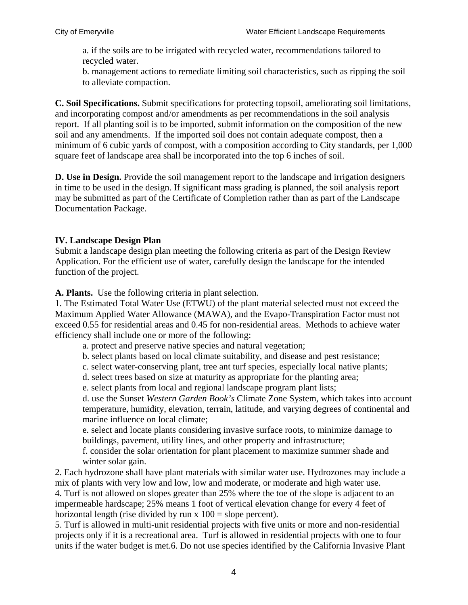a. if the soils are to be irrigated with recycled water, recommendations tailored to recycled water.

b. management actions to remediate limiting soil characteristics, such as ripping the soil to alleviate compaction.

**C. Soil Specifications.** Submit specifications for protecting topsoil, ameliorating soil limitations, and incorporating compost and/or amendments as per recommendations in the soil analysis report. If all planting soil is to be imported, submit information on the composition of the new soil and any amendments. If the imported soil does not contain adequate compost, then a minimum of 6 cubic yards of compost, with a composition according to City standards, per 1,000 square feet of landscape area shall be incorporated into the top 6 inches of soil.

**D. Use in Design.** Provide the soil management report to the landscape and irrigation designers in time to be used in the design. If significant mass grading is planned, the soil analysis report may be submitted as part of the Certificate of Completion rather than as part of the Landscape Documentation Package.

### **IV. Landscape Design Plan**

Submit a landscape design plan meeting the following criteria as part of the Design Review Application. For the efficient use of water, carefully design the landscape for the intended function of the project.

**A. Plants.** Use the following criteria in plant selection.

1. The Estimated Total Water Use (ETWU) of the plant material selected must not exceed the Maximum Applied Water Allowance (MAWA), and the Evapo-Transpiration Factor must not exceed 0.55 for residential areas and 0.45 for non-residential areas. Methods to achieve water efficiency shall include one or more of the following:

- a. protect and preserve native species and natural vegetation;
- b. select plants based on local climate suitability, and disease and pest resistance;
- c. select water-conserving plant, tree ant turf species, especially local native plants;
- d. select trees based on size at maturity as appropriate for the planting area;
- e. select plants from local and regional landscape program plant lists;

d. use the Sunset *Western Garden Book's* Climate Zone System, which takes into account temperature, humidity, elevation, terrain, latitude, and varying degrees of continental and marine influence on local climate;

e. select and locate plants considering invasive surface roots, to minimize damage to buildings, pavement, utility lines, and other property and infrastructure;

f. consider the solar orientation for plant placement to maximize summer shade and winter solar gain.

2. Each hydrozone shall have plant materials with similar water use. Hydrozones may include a mix of plants with very low and low, low and moderate, or moderate and high water use. 4. Turf is not allowed on slopes greater than 25% where the toe of the slope is adjacent to an impermeable hardscape; 25% means 1 foot of vertical elevation change for every 4 feet of horizontal length (rise divided by run  $x 100 =$  slope percent).

5. Turf is allowed in multi-unit residential projects with five units or more and non-residential projects only if it is a recreational area. Turf is allowed in residential projects with one to four units if the water budget is met.6. Do not use species identified by the California Invasive Plant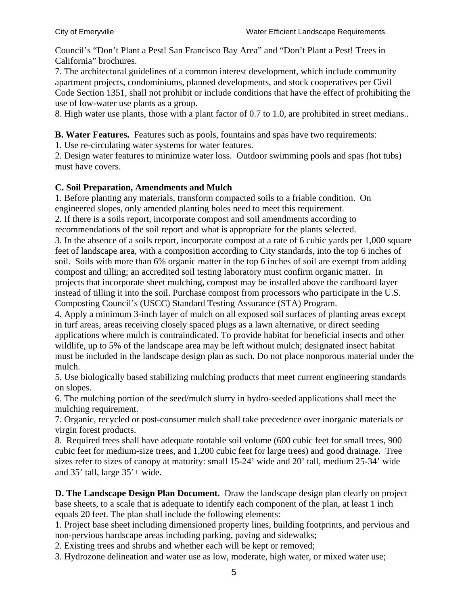Council's "Don't Plant a Pest! San Francisco Bay Area" and "Don't Plant a Pest! Trees in California" brochures.

7. The architectural guidelines of a common interest development, which include community apartment projects, condominiums, planned developments, and stock cooperatives per Civil Code Section 1351, shall not prohibit or include conditions that have the effect of prohibiting the use of low-water use plants as a group.

8. High water use plants, those with a plant factor of 0.7 to 1.0, are prohibited in street medians..

**B. Water Features.** Features such as pools, fountains and spas have two requirements:

1. Use re-circulating water systems for water features.

2. Design water features to minimize water loss. Outdoor swimming pools and spas (hot tubs) must have covers.

### **C. Soil Preparation, Amendments and Mulch**

1. Before planting any materials, transform compacted soils to a friable condition. On engineered slopes, only amended planting holes need to meet this requirement.

2. If there is a soils report, incorporate compost and soil amendments according to recommendations of the soil report and what is appropriate for the plants selected.

3. In the absence of a soils report, incorporate compost at a rate of 6 cubic yards per 1,000 square feet of landscape area, with a composition according to City standards, into the top 6 inches of soil. Soils with more than 6% organic matter in the top 6 inches of soil are exempt from adding compost and tilling; an accredited soil testing laboratory must confirm organic matter. In projects that incorporate sheet mulching, compost may be installed above the cardboard layer instead of tilling it into the soil. Purchase compost from processors who participate in the U.S. Composting Council's (USCC) Standard Testing Assurance (STA) Program.

4. Apply a minimum 3-inch layer of mulch on all exposed soil surfaces of planting areas except in turf areas, areas receiving closely spaced plugs as a lawn alternative, or direct seeding applications where mulch is contraindicated. To provide habitat for beneficial insects and other wildlife, up to 5% of the landscape area may be left without mulch; designated insect habitat must be included in the landscape design plan as such. Do not place nonporous material under the mulch.

5. Use biologically based stabilizing mulching products that meet current engineering standards on slopes.

6. The mulching portion of the seed/mulch slurry in hydro-seeded applications shall meet the mulching requirement.

7. Organic, recycled or post-consumer mulch shall take precedence over inorganic materials or virgin forest products.

8. Required trees shall have adequate rootable soil volume (600 cubic feet for small trees, 900 cubic feet for medium-size trees, and 1,200 cubic feet for large trees) and good drainage. Tree sizes refer to sizes of canopy at maturity: small 15-24' wide and 20' tall, medium 25-34' wide and  $35'$  tall, large  $35'$  + wide.

**D. The Landscape Design Plan Document.** Draw the landscape design plan clearly on project base sheets, to a scale that is adequate to identify each component of the plan, at least 1 inch equals 20 feet. The plan shall include the following elements:

1. Project base sheet including dimensioned property lines, building footprints, and pervious and non-pervious hardscape areas including parking, paving and sidewalks;

2. Existing trees and shrubs and whether each will be kept or removed;

3. Hydrozone delineation and water use as low, moderate, high water, or mixed water use;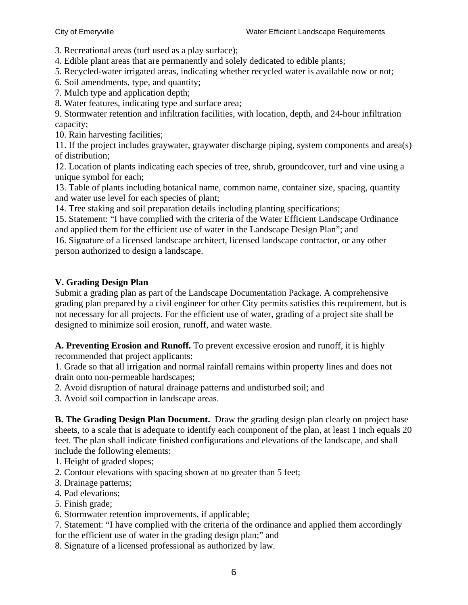3. Recreational areas (turf used as a play surface);

4. Edible plant areas that are permanently and solely dedicated to edible plants;

5. Recycled-water irrigated areas, indicating whether recycled water is available now or not;

6. Soil amendments, type, and quantity;

7. Mulch type and application depth;

8. Water features, indicating type and surface area;

9. Stormwater retention and infiltration facilities, with location, depth, and 24-hour infiltration capacity;

10. Rain harvesting facilities;

11. If the project includes graywater, graywater discharge piping, system components and area(s) of distribution;

12. Location of plants indicating each species of tree, shrub, groundcover, turf and vine using a unique symbol for each;

13. Table of plants including botanical name, common name, container size, spacing, quantity and water use level for each species of plant;

14. Tree staking and soil preparation details including planting specifications;

15. Statement: "I have complied with the criteria of the Water Efficient Landscape Ordinance and applied them for the efficient use of water in the Landscape Design Plan"; and

16. Signature of a licensed landscape architect, licensed landscape contractor, or any other person authorized to design a landscape.

### **V. Grading Design Plan**

Submit a grading plan as part of the Landscape Documentation Package. A comprehensive grading plan prepared by a civil engineer for other City permits satisfies this requirement, but is not necessary for all projects. For the efficient use of water, grading of a project site shall be designed to minimize soil erosion, runoff, and water waste.

**A. Preventing Erosion and Runoff.** To prevent excessive erosion and runoff, it is highly recommended that project applicants:

1. Grade so that all irrigation and normal rainfall remains within property lines and does not drain onto non-permeable hardscapes;

2. Avoid disruption of natural drainage patterns and undisturbed soil; and

3. Avoid soil compaction in landscape areas.

**B. The Grading Design Plan Document.** Draw the grading design plan clearly on project base sheets, to a scale that is adequate to identify each component of the plan, at least 1 inch equals 20 feet. The plan shall indicate finished configurations and elevations of the landscape, and shall include the following elements:

1. Height of graded slopes;

- 2. Contour elevations with spacing shown at no greater than 5 feet;
- 3. Drainage patterns;
- 4. Pad elevations;
- 5. Finish grade;
- 6. Stormwater retention improvements, if applicable;

7. Statement: "I have complied with the criteria of the ordinance and applied them accordingly for the efficient use of water in the grading design plan;" and

8. Signature of a licensed professional as authorized by law.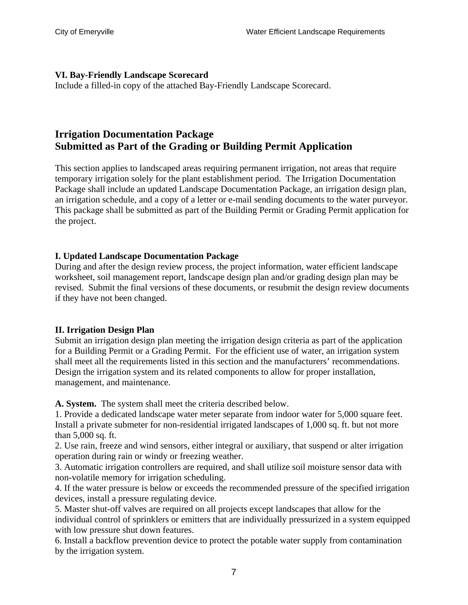### **VI. Bay-Friendly Landscape Scorecard**

Include a filled-in copy of the attached Bay-Friendly Landscape Scorecard.

# **Irrigation Documentation Package Submitted as Part of the Grading or Building Permit Application**

This section applies to landscaped areas requiring permanent irrigation, not areas that require temporary irrigation solely for the plant establishment period. The Irrigation Documentation Package shall include an updated Landscape Documentation Package, an irrigation design plan, an irrigation schedule, and a copy of a letter or e-mail sending documents to the water purveyor. This package shall be submitted as part of the Building Permit or Grading Permit application for the project.

### **I. Updated Landscape Documentation Package**

During and after the design review process, the project information, water efficient landscape worksheet, soil management report, landscape design plan and/or grading design plan may be revised. Submit the final versions of these documents, or resubmit the design review documents if they have not been changed.

#### **II. Irrigation Design Plan**

Submit an irrigation design plan meeting the irrigation design criteria as part of the application for a Building Permit or a Grading Permit. For the efficient use of water, an irrigation system shall meet all the requirements listed in this section and the manufacturers' recommendations. Design the irrigation system and its related components to allow for proper installation, management, and maintenance.

**A. System.** The system shall meet the criteria described below.

1. Provide a dedicated landscape water meter separate from indoor water for 5,000 square feet. Install a private submeter for non-residential irrigated landscapes of 1,000 sq. ft. but not more than 5,000 sq. ft.

2. Use rain, freeze and wind sensors, either integral or auxiliary, that suspend or alter irrigation operation during rain or windy or freezing weather.

3. Automatic irrigation controllers are required, and shall utilize soil moisture sensor data with non-volatile memory for irrigation scheduling.

4. If the water pressure is below or exceeds the recommended pressure of the specified irrigation devices, install a pressure regulating device.

5. Master shut-off valves are required on all projects except landscapes that allow for the individual control of sprinklers or emitters that are individually pressurized in a system equipped with low pressure shut down features.

6. Install a backflow prevention device to protect the potable water supply from contamination by the irrigation system.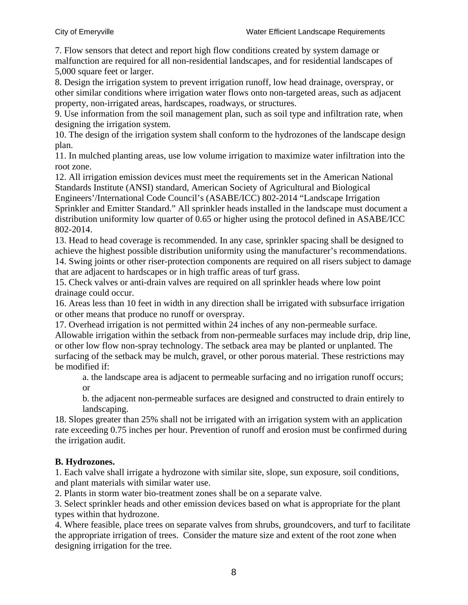7. Flow sensors that detect and report high flow conditions created by system damage or malfunction are required for all non-residential landscapes, and for residential landscapes of 5,000 square feet or larger.

8. Design the irrigation system to prevent irrigation runoff, low head drainage, overspray, or other similar conditions where irrigation water flows onto non-targeted areas, such as adjacent property, non-irrigated areas, hardscapes, roadways, or structures.

9. Use information from the soil management plan, such as soil type and infiltration rate, when designing the irrigation system.

10. The design of the irrigation system shall conform to the hydrozones of the landscape design plan.

11. In mulched planting areas, use low volume irrigation to maximize water infiltration into the root zone.

12. All irrigation emission devices must meet the requirements set in the American National Standards Institute (ANSI) standard, American Society of Agricultural and Biological Engineers'/International Code Council's (ASABE/ICC) 802-2014 "Landscape Irrigation Sprinkler and Emitter Standard." All sprinkler heads installed in the landscape must document a distribution uniformity low quarter of 0.65 or higher using the protocol defined in ASABE/ICC 802-2014.

13. Head to head coverage is recommended. In any case, sprinkler spacing shall be designed to achieve the highest possible distribution uniformity using the manufacturer's recommendations. 14. Swing joints or other riser-protection components are required on all risers subject to damage that are adjacent to hardscapes or in high traffic areas of turf grass.

15. Check valves or anti-drain valves are required on all sprinkler heads where low point drainage could occur.

16. Areas less than 10 feet in width in any direction shall be irrigated with subsurface irrigation or other means that produce no runoff or overspray.

17. Overhead irrigation is not permitted within 24 inches of any non-permeable surface. Allowable irrigation within the setback from non-permeable surfaces may include drip, drip line, or other low flow non-spray technology. The setback area may be planted or unplanted. The surfacing of the setback may be mulch, gravel, or other porous material. These restrictions may be modified if:

a. the landscape area is adjacent to permeable surfacing and no irrigation runoff occurs; or

b. the adjacent non-permeable surfaces are designed and constructed to drain entirely to landscaping.

18. Slopes greater than 25% shall not be irrigated with an irrigation system with an application rate exceeding 0.75 inches per hour. Prevention of runoff and erosion must be confirmed during the irrigation audit.

### **B. Hydrozones.**

1. Each valve shall irrigate a hydrozone with similar site, slope, sun exposure, soil conditions, and plant materials with similar water use.

2. Plants in storm water bio-treatment zones shall be on a separate valve.

3. Select sprinkler heads and other emission devices based on what is appropriate for the plant types within that hydrozone.

4. Where feasible, place trees on separate valves from shrubs, groundcovers, and turf to facilitate the appropriate irrigation of trees. Consider the mature size and extent of the root zone when designing irrigation for the tree.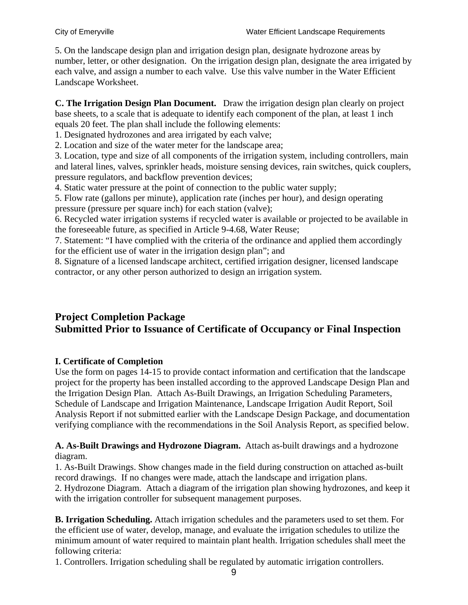5. On the landscape design plan and irrigation design plan, designate hydrozone areas by number, letter, or other designation. On the irrigation design plan, designate the area irrigated by each valve, and assign a number to each valve. Use this valve number in the Water Efficient Landscape Worksheet.

**C. The Irrigation Design Plan Document.** Draw the irrigation design plan clearly on project base sheets, to a scale that is adequate to identify each component of the plan, at least 1 inch equals 20 feet. The plan shall include the following elements:

1. Designated hydrozones and area irrigated by each valve;

2. Location and size of the water meter for the landscape area;

3. Location, type and size of all components of the irrigation system, including controllers, main and lateral lines, valves, sprinkler heads, moisture sensing devices, rain switches, quick couplers, pressure regulators, and backflow prevention devices;

4. Static water pressure at the point of connection to the public water supply;

5. Flow rate (gallons per minute), application rate (inches per hour), and design operating pressure (pressure per square inch) for each station (valve);

6. Recycled water irrigation systems if recycled water is available or projected to be available in the foreseeable future, as specified in Article 9-4.68, Water Reuse;

7. Statement: "I have complied with the criteria of the ordinance and applied them accordingly for the efficient use of water in the irrigation design plan"; and

8. Signature of a licensed landscape architect, certified irrigation designer, licensed landscape contractor, or any other person authorized to design an irrigation system.

# **Project Completion Package Submitted Prior to Issuance of Certificate of Occupancy or Final Inspection**

### **I. Certificate of Completion**

Use the form on pages 14-15 to provide contact information and certification that the landscape project for the property has been installed according to the approved Landscape Design Plan and the Irrigation Design Plan. Attach As-Built Drawings, an Irrigation Scheduling Parameters, Schedule of Landscape and Irrigation Maintenance, Landscape Irrigation Audit Report, Soil Analysis Report if not submitted earlier with the Landscape Design Package, and documentation verifying compliance with the recommendations in the Soil Analysis Report, as specified below.

**A. As-Built Drawings and Hydrozone Diagram.** Attach as-built drawings and a hydrozone diagram.

1. As-Built Drawings. Show changes made in the field during construction on attached as-built record drawings. If no changes were made, attach the landscape and irrigation plans. 2. Hydrozone Diagram.Attach a diagram of the irrigation plan showing hydrozones, and keep it with the irrigation controller for subsequent management purposes.

**B. Irrigation Scheduling.** Attach irrigation schedules and the parameters used to set them. For the efficient use of water, develop, manage, and evaluate the irrigation schedules to utilize the minimum amount of water required to maintain plant health. Irrigation schedules shall meet the following criteria:

1. Controllers. Irrigation scheduling shall be regulated by automatic irrigation controllers.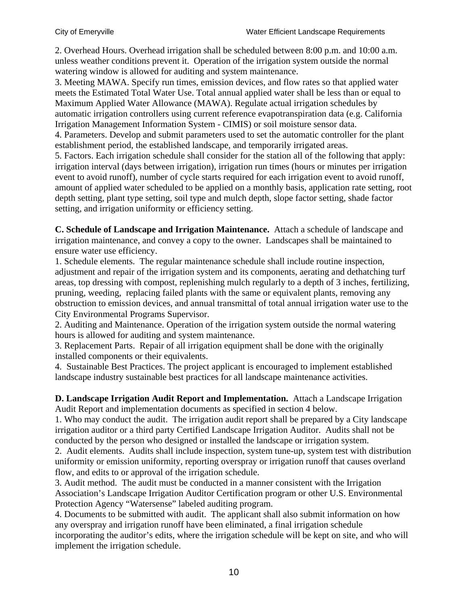2. Overhead Hours. Overhead irrigation shall be scheduled between 8:00 p.m. and 10:00 a.m. unless weather conditions prevent it. Operation of the irrigation system outside the normal watering window is allowed for auditing and system maintenance.

3. Meeting MAWA. Specify run times, emission devices, and flow rates so that applied water meets the Estimated Total Water Use. Total annual applied water shall be less than or equal to Maximum Applied Water Allowance (MAWA). Regulate actual irrigation schedules by automatic irrigation controllers using current reference evapotranspiration data (e.g. California Irrigation Management Information System - CIMIS) or soil moisture sensor data.

4. Parameters. Develop and submit parameters used to set the automatic controller for the plant establishment period, the established landscape, and temporarily irrigated areas.

5. Factors. Each irrigation schedule shall consider for the station all of the following that apply: irrigation interval (days between irrigation), irrigation run times (hours or minutes per irrigation event to avoid runoff), number of cycle starts required for each irrigation event to avoid runoff, amount of applied water scheduled to be applied on a monthly basis, application rate setting, root depth setting, plant type setting, soil type and mulch depth, slope factor setting, shade factor setting, and irrigation uniformity or efficiency setting.

**C. Schedule of Landscape and Irrigation Maintenance.** Attach a schedule of landscape and irrigation maintenance, and convey a copy to the owner. Landscapes shall be maintained to ensure water use efficiency.

1. Schedule elements. The regular maintenance schedule shall include routine inspection, adjustment and repair of the irrigation system and its components, aerating and dethatching turf areas, top dressing with compost, replenishing mulch regularly to a depth of 3 inches, fertilizing, pruning, weeding, replacing failed plants with the same or equivalent plants, removing any obstruction to emission devices, and annual transmittal of total annual irrigation water use to the City Environmental Programs Supervisor.

2. Auditing and Maintenance. Operation of the irrigation system outside the normal watering hours is allowed for auditing and system maintenance.

3. Replacement Parts. Repair of all irrigation equipment shall be done with the originally installed components or their equivalents.

4. Sustainable Best Practices. The project applicant is encouraged to implement established landscape industry sustainable best practices for all landscape maintenance activities.

**D. Landscape Irrigation Audit Report and Implementation.** Attach a Landscape Irrigation Audit Report and implementation documents as specified in section 4 below.

1. Who may conduct the audit. The irrigation audit report shall be prepared by a City landscape irrigation auditor or a third party Certified Landscape Irrigation Auditor. Audits shall not be conducted by the person who designed or installed the landscape or irrigation system.

2. Audit elements. Audits shall include inspection, system tune-up, system test with distribution uniformity or emission uniformity, reporting overspray or irrigation runoff that causes overland flow, and edits to or approval of the irrigation schedule.

3. Audit method. The audit must be conducted in a manner consistent with the Irrigation Association's Landscape Irrigation Auditor Certification program or other U.S. Environmental Protection Agency "Watersense" labeled auditing program.

4. Documents to be submitted with audit. The applicant shall also submit information on how any overspray and irrigation runoff have been eliminated, a final irrigation schedule incorporating the auditor's edits, where the irrigation schedule will be kept on site, and who will implement the irrigation schedule.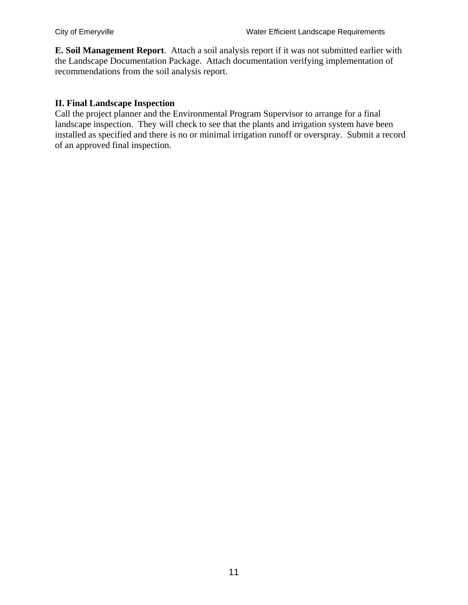**E. Soil Management Report**. Attach a soil analysis report if it was not submitted earlier with the Landscape Documentation Package. Attach documentation verifying implementation of recommendations from the soil analysis report.

### **II. Final Landscape Inspection**

Call the project planner and the Environmental Program Supervisor to arrange for a final landscape inspection. They will check to see that the plants and irrigation system have been installed as specified and there is no or minimal irrigation runoff or overspray. Submit a record of an approved final inspection.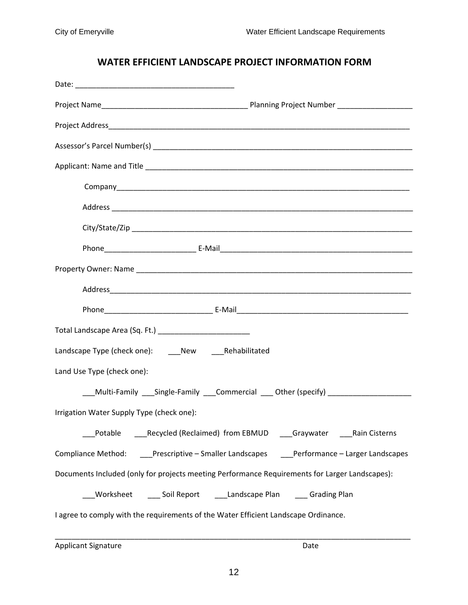## **WATER EFFICIENT LANDSCAPE PROJECT INFORMATION FORM**

| Landscape Type (check one): ______ New _______ Rehabilitated                                   |  |
|------------------------------------------------------------------------------------------------|--|
| Land Use Type (check one):                                                                     |  |
| ___Multi-Family ___Single-Family ___Commercial ___ Other (specify) ______________              |  |
| Irrigation Water Supply Type (check one):                                                      |  |
| _Potable   ____Recycled (Reclaimed) from EBMUD   ____Graywater   _____Rain Cisterns            |  |
| Compliance Method: ____Prescriptive - Smaller Landscapes ____Performance - Larger Landscapes   |  |
| Documents Included (only for projects meeting Performance Requirements for Larger Landscapes): |  |
| _Worksheet      ___ Soil Report      ___Landscape Plan      ___ Grading Plan                   |  |
| I agree to comply with the requirements of the Water Efficient Landscape Ordinance.            |  |

Applicant Signature **Date**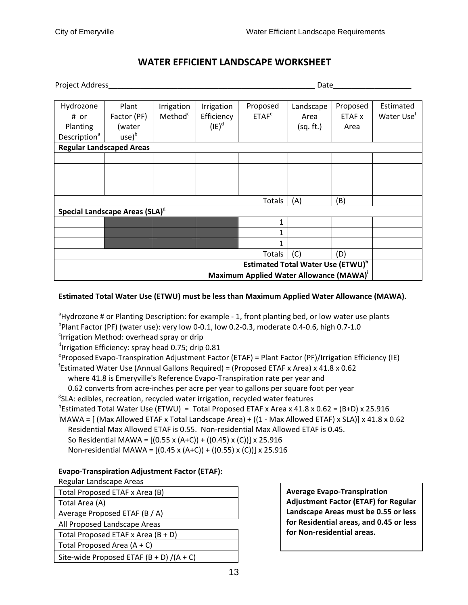## **WATER EFFICIENT LANDSCAPE WORKSHEET**

| Project Address_                                    | Date                                                 |                     |            |                   |           |          |                        |
|-----------------------------------------------------|------------------------------------------------------|---------------------|------------|-------------------|-----------|----------|------------------------|
|                                                     |                                                      |                     |            |                   |           |          |                        |
| Hydrozone                                           | Plant                                                | Irrigation          | Irrigation | Proposed          | Landscape | Proposed | Estimated              |
| # or                                                | Factor (PF)                                          | Method <sup>c</sup> | Efficiency | ETAF <sup>e</sup> | Area      | ETAF x   | Water Use <sup>f</sup> |
| Planting                                            | (water                                               |                     | $(IE)^d$   |                   | (sq. ft.) | Area     |                        |
| Description <sup>a</sup>                            | $use)^{b}$                                           |                     |            |                   |           |          |                        |
|                                                     | <b>Regular Landscaped Areas</b>                      |                     |            |                   |           |          |                        |
|                                                     |                                                      |                     |            |                   |           |          |                        |
|                                                     |                                                      |                     |            |                   |           |          |                        |
|                                                     |                                                      |                     |            |                   |           |          |                        |
|                                                     |                                                      |                     |            |                   |           |          |                        |
|                                                     |                                                      |                     |            | Totals            | (A)       | (B)      |                        |
|                                                     | Special Landscape Areas (SLA) <sup>8</sup>           |                     |            |                   |           |          |                        |
|                                                     |                                                      |                     |            | 1                 |           |          |                        |
|                                                     |                                                      |                     |            | 1                 |           |          |                        |
|                                                     |                                                      |                     |            | 1                 |           |          |                        |
|                                                     |                                                      |                     |            | Totals            | (C)       | (D)      |                        |
|                                                     | <b>Estimated Total Water Use (ETWU)</b> <sup>h</sup> |                     |            |                   |           |          |                        |
| Maximum Applied Water Allowance (MAWA) <sup>1</sup> |                                                      |                     |            |                   |           |          |                        |

#### **Estimated Total Water Use (ETWU) must be less than Maximum Applied Water Allowance (MAWA).**

<sup>a</sup>Hydrozone # or Planting Description: for example - 1, front planting bed, or low water use plants b Plant Factor (PF) (water use): very low 0‐0.1, low 0.2‐0.3, moderate 0.4‐0.6, high 0.7‐1.0

<sup>c</sup>Irrigation Method: overhead spray or drip

<sup>d</sup>Irrigation Efficiency: spray head 0.75; drip 0.81

<sup>e</sup>Proposed Evapo-Transpiration Adjustment Factor (ETAF) = Plant Factor (PF)/Irrigation Efficiency (IE)

f Estimated Water Use (Annual Gallons Required) = (Proposed ETAF x Area) x 41.8 x 0.62

where 41.8 is Emeryville's Reference Evapo‐Transpiration rate per year and

0.62 converts from acre‐inches per acre per year to gallons per square foot per year

<sup>g</sup>SLA: edibles, recreation, recycled water irrigation, recycled water features

<sup>h</sup>Estimated Total Water Use (ETWU) = Total Proposed ETAF x Area x 41.8 x 0.62 = (B+D) x 25.916

i MAWA = [ (Max Allowed ETAF x Total Landscape Area) + ((1 ‐ Max Allowed ETAF) x SLA)] x 41.8 x 0.62 Residential Max Allowed ETAF is 0.55. Non‐residential Max Allowed ETAF is 0.45.

So Residential MAWA = [(0.55 x (A+C)) + ((0.45) x (C))] x 25.916

Non‐residential MAWA = [(0.45 x (A+C)) + ((0.55) x (C))] x 25.916

#### **Evapo‐Transpiration Adjustment Factor (ETAF):**

Regular Landscape Areas

| Total Proposed ETAF x Area (B)              | <b>Average Evapo-Transpiration</b>          |
|---------------------------------------------|---------------------------------------------|
| Total Area (A)                              | <b>Adjustment Factor (ETAF) for Regular</b> |
| Average Proposed ETAF (B / A)               | Landscape Areas must be 0.55 or less        |
| All Proposed Landscape Areas                | for Residential areas, and 0.45 or less     |
| Total Proposed ETAF x Area $(B + D)$        | for Non-residential areas.                  |
| Total Proposed Area $(A + C)$               |                                             |
| Site-wide Proposed ETAF $(B + D) / (A + C)$ |                                             |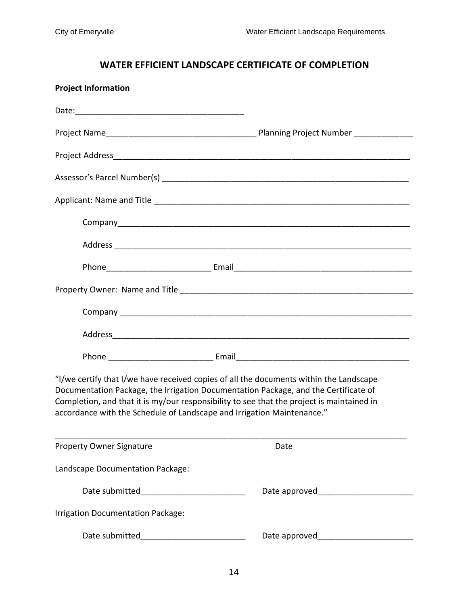# **WATER EFFICIENT LANDSCAPE CERTIFICATE OF COMPLETION**

| <b>Project Information</b>                                                                                                                                                                                                                                                                                                                           |      |  |
|------------------------------------------------------------------------------------------------------------------------------------------------------------------------------------------------------------------------------------------------------------------------------------------------------------------------------------------------------|------|--|
|                                                                                                                                                                                                                                                                                                                                                      |      |  |
|                                                                                                                                                                                                                                                                                                                                                      |      |  |
|                                                                                                                                                                                                                                                                                                                                                      |      |  |
|                                                                                                                                                                                                                                                                                                                                                      |      |  |
|                                                                                                                                                                                                                                                                                                                                                      |      |  |
|                                                                                                                                                                                                                                                                                                                                                      |      |  |
|                                                                                                                                                                                                                                                                                                                                                      |      |  |
|                                                                                                                                                                                                                                                                                                                                                      |      |  |
|                                                                                                                                                                                                                                                                                                                                                      |      |  |
|                                                                                                                                                                                                                                                                                                                                                      |      |  |
|                                                                                                                                                                                                                                                                                                                                                      |      |  |
|                                                                                                                                                                                                                                                                                                                                                      |      |  |
| "I/we certify that I/we have received copies of all the documents within the Landscape<br>Documentation Package, the Irrigation Documentation Package, and the Certificate of<br>Completion, and that it is my/our responsibility to see that the project is maintained in<br>accordance with the Schedule of Landscape and Irrigation Maintenance." |      |  |
| <b>Property Owner Signature</b>                                                                                                                                                                                                                                                                                                                      | Date |  |
| Landscape Documentation Package:                                                                                                                                                                                                                                                                                                                     |      |  |
|                                                                                                                                                                                                                                                                                                                                                      |      |  |
| <b>Irrigation Documentation Package:</b>                                                                                                                                                                                                                                                                                                             |      |  |
|                                                                                                                                                                                                                                                                                                                                                      |      |  |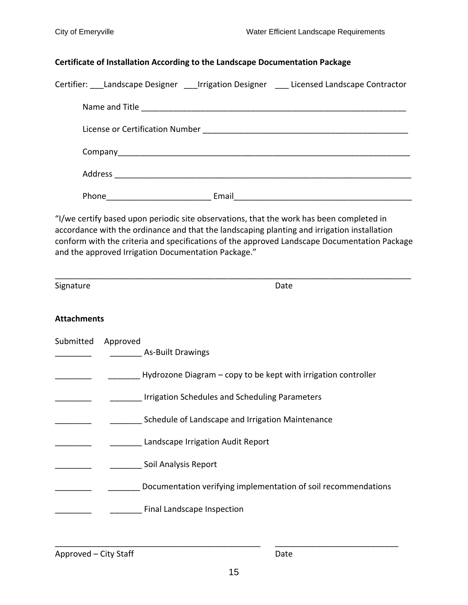#### **Certificate of Installation According to the Landscape Documentation Package**

| Certifier: Landscape Designer Irrigation Designer Licensed Landscape Contractor |       |  |
|---------------------------------------------------------------------------------|-------|--|
|                                                                                 |       |  |
|                                                                                 |       |  |
|                                                                                 |       |  |
|                                                                                 |       |  |
| Phone                                                                           | Email |  |

"I/we certify based upon periodic site observations, that the work has been completed in accordance with the ordinance and that the landscaping planting and irrigation installation conform with the criteria and specifications of the approved Landscape Documentation Package and the approved Irrigation Documentation Package."

\_\_\_\_\_\_\_\_\_\_\_\_\_\_\_\_\_\_\_\_\_\_\_\_\_\_\_\_\_\_\_\_\_\_\_\_\_\_\_\_\_\_\_\_\_\_\_\_\_\_\_\_\_\_\_\_\_\_\_\_\_\_\_\_\_\_\_\_\_\_\_\_\_\_\_\_\_\_

Signature **Date** 

#### **Attachments**

| Submitted | Approved<br><b>As-Built Drawings</b>                           |
|-----------|----------------------------------------------------------------|
|           | Hydrozone Diagram – copy to be kept with irrigation controller |
|           | Irrigation Schedules and Scheduling Parameters                 |
|           | Schedule of Landscape and Irrigation Maintenance               |
|           | Landscape Irrigation Audit Report                              |
|           | Soil Analysis Report                                           |
|           | Documentation verifying implementation of soil recommendations |
|           | Final Landscape Inspection                                     |

Approved – City Staff **by Calculation** 2 and 2 and 2 and 2 and 2 and 2 and 2 and 2 and 2 and 2 and 2 and 2 and 2 and 2 and 2 and 2 and 2 and 2 and 2 and 2 and 2 and 2 and 2 and 2 and 2 and 2 and 2 and 2 and 2 and 2 and 2 a

\_\_\_\_\_\_\_\_\_\_\_\_\_\_\_\_\_\_\_\_\_\_\_\_\_\_\_\_\_\_\_\_\_\_\_\_\_\_\_\_\_\_\_\_\_ \_\_\_\_\_\_\_\_\_\_\_\_\_\_\_\_\_\_\_\_\_\_\_\_\_\_\_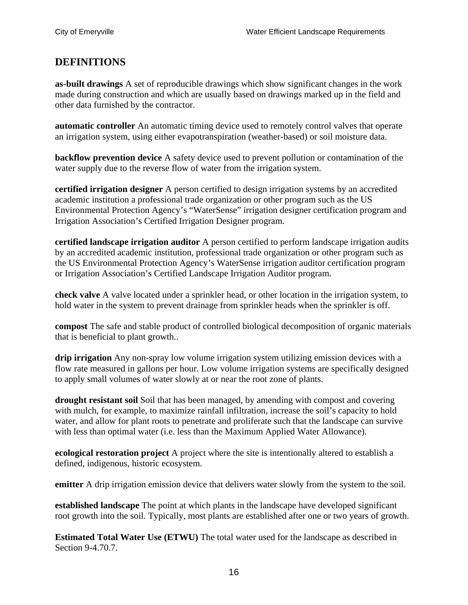## **DEFINITIONS**

**as-built drawings** A set of reproducible drawings which show significant changes in the work made during construction and which are usually based on drawings marked up in the field and other data furnished by the contractor.

**automatic controller** An automatic timing device used to remotely control valves that operate an irrigation system, using either evapotranspiration (weather-based) or soil moisture data.

**backflow prevention device** A safety device used to prevent pollution or contamination of the water supply due to the reverse flow of water from the irrigation system.

**certified irrigation designer** A person certified to design irrigation systems by an accredited academic institution a professional trade organization or other program such as the US Environmental Protection Agency's "WaterSense" irrigation designer certification program and Irrigation Association's Certified Irrigation Designer program.

**certified landscape irrigation auditor** A person certified to perform landscape irrigation audits by an accredited academic institution, professional trade organization or other program such as the US Environmental Protection Agency's WaterSense irrigation auditor certification program or Irrigation Association's Certified Landscape Irrigation Auditor program.

**check valve** A valve located under a sprinkler head, or other location in the irrigation system, to hold water in the system to prevent drainage from sprinkler heads when the sprinkler is off.

**compost** The safe and stable product of controlled biological decomposition of organic materials that is beneficial to plant growth..

**drip irrigation** Any non-spray low volume irrigation system utilizing emission devices with a flow rate measured in gallons per hour. Low volume irrigation systems are specifically designed to apply small volumes of water slowly at or near the root zone of plants.

**drought resistant soil** Soil that has been managed, by amending with compost and covering with mulch, for example, to maximize rainfall infiltration, increase the soil's capacity to hold water, and allow for plant roots to penetrate and proliferate such that the landscape can survive with less than optimal water (i.e. less than the Maximum Applied Water Allowance).

**ecological restoration project** A project where the site is intentionally altered to establish a defined, indigenous, historic ecosystem.

**emitter** A drip irrigation emission device that delivers water slowly from the system to the soil.

**established landscape** The point at which plants in the landscape have developed significant root growth into the soil. Typically, most plants are established after one or two years of growth.

**Estimated Total Water Use (ETWU)** The total water used for the landscape as described in Section 9-4.70.7.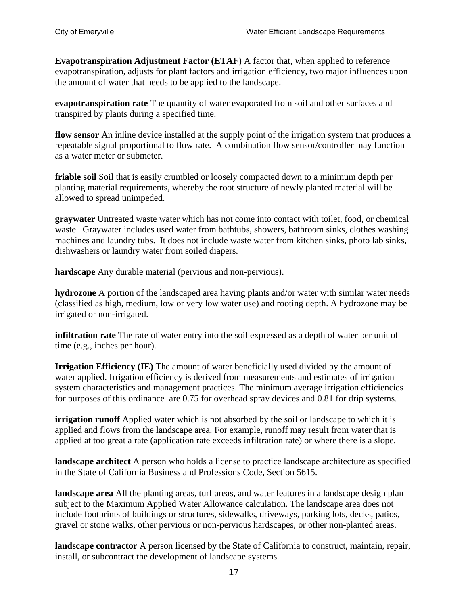**Evapotranspiration Adjustment Factor (ETAF)** A factor that, when applied to reference evapotranspiration, adjusts for plant factors and irrigation efficiency, two major influences upon the amount of water that needs to be applied to the landscape.

**evapotranspiration rate** The quantity of water evaporated from soil and other surfaces and transpired by plants during a specified time.

**flow sensor** An inline device installed at the supply point of the irrigation system that produces a repeatable signal proportional to flow rate. A combination flow sensor/controller may function as a water meter or submeter.

**friable soil** Soil that is easily crumbled or loosely compacted down to a minimum depth per planting material requirements, whereby the root structure of newly planted material will be allowed to spread unimpeded.

**graywater** Untreated waste water which has not come into contact with toilet, food, or chemical waste. Graywater includes used water from bathtubs, showers, bathroom sinks, clothes washing machines and laundry tubs. It does not include waste water from kitchen sinks, photo lab sinks, dishwashers or laundry water from soiled diapers.

**hardscape** Any durable material (pervious and non-pervious).

**hydrozone** A portion of the landscaped area having plants and/or water with similar water needs (classified as high, medium, low or very low water use) and rooting depth. A hydrozone may be irrigated or non-irrigated.

**infiltration rate** The rate of water entry into the soil expressed as a depth of water per unit of time (e.g., inches per hour).

**Irrigation Efficiency (IE)** The amount of water beneficially used divided by the amount of water applied. Irrigation efficiency is derived from measurements and estimates of irrigation system characteristics and management practices. The minimum average irrigation efficiencies for purposes of this ordinance are 0.75 for overhead spray devices and 0.81 for drip systems.

**irrigation runoff** Applied water which is not absorbed by the soil or landscape to which it is applied and flows from the landscape area. For example, runoff may result from water that is applied at too great a rate (application rate exceeds infiltration rate) or where there is a slope.

**landscape architect** A person who holds a license to practice landscape architecture as specified in the State of California Business and Professions Code, Section 5615.

**landscape area** All the planting areas, turf areas, and water features in a landscape design plan subject to the Maximum Applied Water Allowance calculation. The landscape area does not include footprints of buildings or structures, sidewalks, driveways, parking lots, decks, patios, gravel or stone walks, other pervious or non-pervious hardscapes, or other non-planted areas.

**landscape contractor** A person licensed by the State of California to construct, maintain, repair, install, or subcontract the development of landscape systems.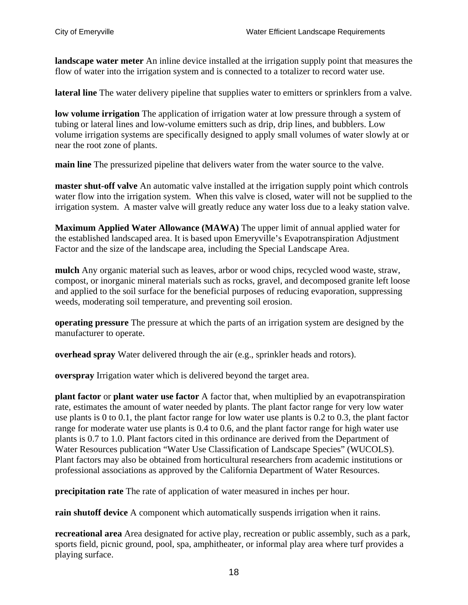**landscape water meter** An inline device installed at the irrigation supply point that measures the flow of water into the irrigation system and is connected to a totalizer to record water use.

**lateral line** The water delivery pipeline that supplies water to emitters or sprinklers from a valve.

**low volume irrigation** The application of irrigation water at low pressure through a system of tubing or lateral lines and low-volume emitters such as drip, drip lines, and bubblers. Low volume irrigation systems are specifically designed to apply small volumes of water slowly at or near the root zone of plants.

**main line** The pressurized pipeline that delivers water from the water source to the valve.

**master shut-off valve** An automatic valve installed at the irrigation supply point which controls water flow into the irrigation system. When this valve is closed, water will not be supplied to the irrigation system. A master valve will greatly reduce any water loss due to a leaky station valve.

**Maximum Applied Water Allowance (MAWA)** The upper limit of annual applied water for the established landscaped area. It is based upon Emeryville's Evapotranspiration Adjustment Factor and the size of the landscape area, including the Special Landscape Area.

**mulch** Any organic material such as leaves, arbor or wood chips, recycled wood waste, straw, compost, or inorganic mineral materials such as rocks, gravel, and decomposed granite left loose and applied to the soil surface for the beneficial purposes of reducing evaporation, suppressing weeds, moderating soil temperature, and preventing soil erosion.

**operating pressure** The pressure at which the parts of an irrigation system are designed by the manufacturer to operate.

**overhead spray** Water delivered through the air (e.g., sprinkler heads and rotors).

**overspray** Irrigation water which is delivered beyond the target area.

**plant factor** or **plant water use factor** A factor that, when multiplied by an evapotranspiration rate, estimates the amount of water needed by plants. The plant factor range for very low water use plants is 0 to 0.1, the plant factor range for low water use plants is 0.2 to 0.3, the plant factor range for moderate water use plants is 0.4 to 0.6, and the plant factor range for high water use plants is 0.7 to 1.0. Plant factors cited in this ordinance are derived from the Department of Water Resources publication "Water Use Classification of Landscape Species" (WUCOLS). Plant factors may also be obtained from horticultural researchers from academic institutions or professional associations as approved by the California Department of Water Resources.

**precipitation rate** The rate of application of water measured in inches per hour.

**rain shutoff device** A component which automatically suspends irrigation when it rains.

**recreational area** Area designated for active play, recreation or public assembly, such as a park, sports field, picnic ground, pool, spa, amphitheater, or informal play area where turf provides a playing surface.